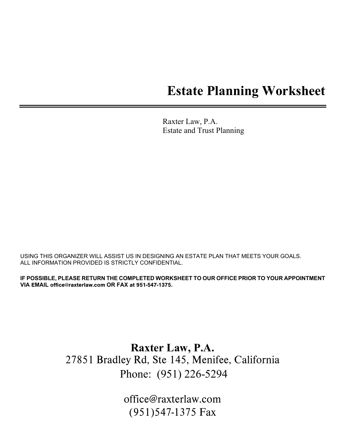# **Estate Planning Worksheet**

Raxter Law, P.A. Estate and Trust Planning

USING THIS ORGANIZER WILL ASSIST US IN DESIGNING AN ESTATE PLAN THAT MEETS YOUR GOALS. ALL INFORMATION PROVIDED IS STRICTLY CONFIDENTIAL.

**IF POSSIBLE, PLEASE RETURN THE COMPLETED WORKSHEET TO OUR OFFICE PRIOR TO YOUR APPOINTMENT VIA** E**MAIL** office@raxterlaw.com **OR FAX** at 951-547-1375**.** 

> **Raxter Law, P.A.** 27851 Bradley Rd, Ste 145, Menifee, California Phone: (951) 226-5294

> > office@raxterlaw.com (951)547-1375 Fax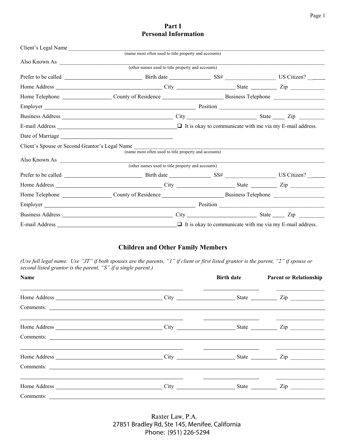# **Part I Personal Information**

| Also Known As | (other names used to title property and accounts)                                                                                                                                                                               |                                                                                                                                                                                                                               |  |
|---------------|---------------------------------------------------------------------------------------------------------------------------------------------------------------------------------------------------------------------------------|-------------------------------------------------------------------------------------------------------------------------------------------------------------------------------------------------------------------------------|--|
|               |                                                                                                                                                                                                                                 |                                                                                                                                                                                                                               |  |
|               |                                                                                                                                                                                                                                 |                                                                                                                                                                                                                               |  |
|               |                                                                                                                                                                                                                                 |                                                                                                                                                                                                                               |  |
|               |                                                                                                                                                                                                                                 |                                                                                                                                                                                                                               |  |
|               | Employer Position Position Position Position                                                                                                                                                                                    |                                                                                                                                                                                                                               |  |
|               |                                                                                                                                                                                                                                 |                                                                                                                                                                                                                               |  |
|               | E-mail Address $\Box$ The stage of the set of the set of the set of the set of the set of the set of the set of the set of the set of the set of the set of the set of the set of the set of the set of the set of the set of t |                                                                                                                                                                                                                               |  |
|               |                                                                                                                                                                                                                                 |                                                                                                                                                                                                                               |  |
|               | Client's Spouse or Second Grantor's Legal Name<br>(name most often used to title property and accounts)                                                                                                                         | the control of the control of the control of the control of the control of the control of the control of the control of the control of the control of the control of the control of the control of the control of the control |  |
|               |                                                                                                                                                                                                                                 |                                                                                                                                                                                                                               |  |
|               |                                                                                                                                                                                                                                 |                                                                                                                                                                                                                               |  |
|               |                                                                                                                                                                                                                                 |                                                                                                                                                                                                                               |  |
|               |                                                                                                                                                                                                                                 |                                                                                                                                                                                                                               |  |
|               |                                                                                                                                                                                                                                 |                                                                                                                                                                                                                               |  |
|               | Employer Position Position Position Position Position Position Position Position Position Position Position Position Position Position Position Position Position Position Position Position Position Position Position Positi  |                                                                                                                                                                                                                               |  |
|               |                                                                                                                                                                                                                                 |                                                                                                                                                                                                                               |  |
|               | E-mail Address $\Box$ The stage of the set of the set of the set of the set of the set of the set of the set of the set of the set of the set of the set of the set of the set of the set of the set of the set of the set of t |                                                                                                                                                                                                                               |  |

# **Children and Other Family Members**

*(Use full legal name. Use "JT" if both spouses are the parents, "1" if client or first listed grantor is the parent, "2" if spouse or second listed grantor is the parent, "S" if a single parent.)*

| Name                                                                                                                  |                                                                                 | <b>Birth date Parent or Relationship</b>                                                                              |
|-----------------------------------------------------------------------------------------------------------------------|---------------------------------------------------------------------------------|-----------------------------------------------------------------------------------------------------------------------|
|                                                                                                                       |                                                                                 |                                                                                                                       |
|                                                                                                                       |                                                                                 |                                                                                                                       |
| <u> 1989 - Andrea Santa Andrea Andrea Andrea Andrea Andrea Andrea Andrea Andrea Andrea Andrea Andrea Andrea Andr</u>  |                                                                                 |                                                                                                                       |
|                                                                                                                       |                                                                                 |                                                                                                                       |
| <u> 1989 - Johann Barn, mars and de Branch Barn, mars and de Branch Barn, mars and de Branch Barn, mars and de Br</u> | <u> 1980 - Andrea Andrew Maria (h. 1980).</u><br>1900 - Andrew Maria (h. 1900). |                                                                                                                       |
|                                                                                                                       |                                                                                 |                                                                                                                       |
|                                                                                                                       |                                                                                 | <u> 1989 - Johann John Stone, markin amerikan bisa di sebagai pertama dan pertama dan pertama dan pertama dan per</u> |
|                                                                                                                       |                                                                                 |                                                                                                                       |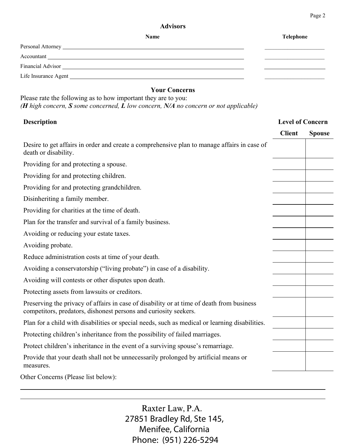## **Advisors**

| Name                                                                                                                                                                                                                           | Telephone |
|--------------------------------------------------------------------------------------------------------------------------------------------------------------------------------------------------------------------------------|-----------|
|                                                                                                                                                                                                                                |           |
|                                                                                                                                                                                                                                |           |
|                                                                                                                                                                                                                                |           |
| Life Insurance Agent Learning and the same state of the state of the state of the state of the state of the state of the state of the state of the state of the state of the state of the state of the state of the state of t |           |

# **Your Concerns**

Please rate the following as to how important they are to you: *(H high concern, S some concerned, L low concern, N/A no concern or not applicable)* 

# **Description Level of Concern**

|                                                                                                                                                               | <b>Client</b> | <b>Spouse</b> |
|---------------------------------------------------------------------------------------------------------------------------------------------------------------|---------------|---------------|
| Desire to get affairs in order and create a comprehensive plan to manage affairs in case of<br>death or disability.                                           |               |               |
| Providing for and protecting a spouse.                                                                                                                        |               |               |
| Providing for and protecting children.                                                                                                                        |               |               |
| Providing for and protecting grandchildren.                                                                                                                   |               |               |
| Disinheriting a family member.                                                                                                                                |               |               |
| Providing for charities at the time of death.                                                                                                                 |               |               |
| Plan for the transfer and survival of a family business.                                                                                                      |               |               |
| Avoiding or reducing your estate taxes.                                                                                                                       |               |               |
| Avoiding probate.                                                                                                                                             |               |               |
| Reduce administration costs at time of your death.                                                                                                            |               |               |
| Avoiding a conservatorship ("living probate") in case of a disability.                                                                                        |               |               |
| Avoiding will contests or other disputes upon death.                                                                                                          |               |               |
| Protecting assets from lawsuits or creditors.                                                                                                                 |               |               |
| Preserving the privacy of affairs in case of disability or at time of death from business<br>competitors, predators, dishonest persons and curiosity seekers. |               |               |
| Plan for a child with disabilities or special needs, such as medical or learning disabilities.                                                                |               |               |
| Protecting children's inheritance from the possibility of failed marriages.                                                                                   |               |               |
| Protect children's inheritance in the event of a surviving spouse's remarriage.                                                                               |               |               |
| Provide that your death shall not be unnecessarily prolonged by artificial means or<br>measures.                                                              |               |               |
| $\Omega$ thay Canaama (Dlaasa List halays).                                                                                                                   |               |               |

Other Concerns (Please list below):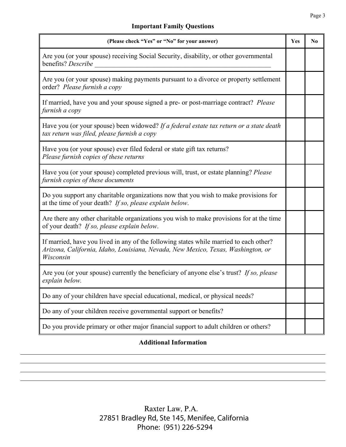# **Important Family Questions**

| (Please check "Yes" or "No" for your answer)                                                                                                                                            | Yes | N <sub>0</sub> |
|-----------------------------------------------------------------------------------------------------------------------------------------------------------------------------------------|-----|----------------|
| Are you (or your spouse) receiving Social Security, disability, or other governmental<br>benefits? Describe                                                                             |     |                |
| Are you (or your spouse) making payments pursuant to a divorce or property settlement<br>order? Please furnish a copy                                                                   |     |                |
| If married, have you and your spouse signed a pre- or post-marriage contract? Please<br>furnish a copy                                                                                  |     |                |
| Have you (or your spouse) been widowed? If a federal estate tax return or a state death<br>tax return was filed, please furnish a copy                                                  |     |                |
| Have you (or your spouse) ever filed federal or state gift tax returns?<br>Please furnish copies of these returns                                                                       |     |                |
| Have you (or your spouse) completed previous will, trust, or estate planning? Please<br>furnish copies of these documents                                                               |     |                |
| Do you support any charitable organizations now that you wish to make provisions for<br>at the time of your death? If so, please explain below.                                         |     |                |
| Are there any other charitable organizations you wish to make provisions for at the time<br>of your death? If so, please explain below.                                                 |     |                |
| If married, have you lived in any of the following states while married to each other?<br>Arizona, California, Idaho, Louisiana, Nevada, New Mexico, Texas, Washington, or<br>Wisconsin |     |                |
| Are you (or your spouse) currently the beneficiary of anyone else's trust? If so, please<br>explain below.                                                                              |     |                |
| Do any of your children have special educational, medical, or physical needs?                                                                                                           |     |                |
| Do any of your children receive governmental support or benefits?                                                                                                                       |     |                |
| Do you provide primary or other major financial support to adult children or others?                                                                                                    |     |                |

# **Additional Information**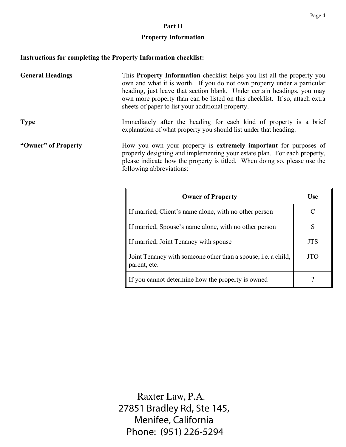# **Property Information**

# **Instructions for completing the Property Information checklist:**

| <b>General Headings</b> | This <b>Property Information</b> checklist helps you list all the property you<br>own and what it is worth. If you do not own property under a particular<br>heading, just leave that section blank. Under certain headings, you may<br>own more property than can be listed on this checklist. If so, attach extra<br>sheets of paper to list your additional property. |
|-------------------------|--------------------------------------------------------------------------------------------------------------------------------------------------------------------------------------------------------------------------------------------------------------------------------------------------------------------------------------------------------------------------|
| <b>Type</b>             | Immediately after the heading for each kind of property is a brief<br>explanation of what property you should list under that heading.                                                                                                                                                                                                                                   |
| "Owner" of Property     | How you own your property is extremely important for purposes of<br>properly designing and implementing your estate plan. For each property,<br>please indicate how the property is titled. When doing so, please use the<br>following abbreviations:                                                                                                                    |
|                         | <b>Owner of Property</b><br>Use                                                                                                                                                                                                                                                                                                                                          |

| <b>Owner of Property</b>                                                             | Use        |
|--------------------------------------------------------------------------------------|------------|
| If married, Client's name alone, with no other person                                |            |
| If married, Spouse's name alone, with no other person                                |            |
| If married, Joint Tenancy with spouse                                                | <b>JTS</b> |
| Joint Tenancy with someone other than a spouse, <i>i.e.</i> a child,<br>parent, etc. | JTO        |
| If you cannot determine how the property is owned                                    |            |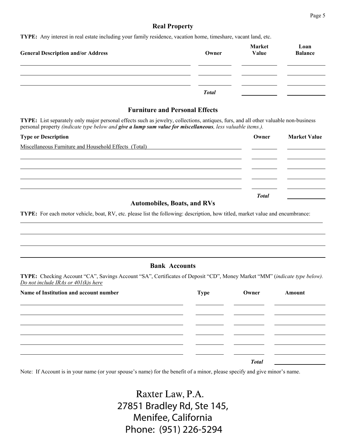### **Real Property**

**TYPE:** Any interest in real estate including your family residence, vacation home, timeshare, vacant land, etc.

| <b>General Description and/or Address</b> | Owner        | <b>Market</b><br>Value | Loan<br><b>Balance</b> |
|-------------------------------------------|--------------|------------------------|------------------------|
|                                           |              |                        |                        |
|                                           | <b>Total</b> |                        |                        |

### **Furniture and Personal Effects**

**TYPE:** List separately only major personal effects such as jewelry, collections, antiques, furs, and all other valuable non-business personal property *(indicate type below and give a lump sum value for miscellaneous, less valuable items.).*

| <b>Type or Description</b>                                      | Owner        | <b>Market Value</b> |
|-----------------------------------------------------------------|--------------|---------------------|
| Miscellaneous Furniture and Household Effects (Total)           |              |                     |
|                                                                 |              |                     |
|                                                                 |              |                     |
|                                                                 |              |                     |
|                                                                 |              |                     |
| $\mathbf{A}$ and $\mathbf{B}$ and $\mathbf{B}$ and $\mathbf{B}$ | <b>Total</b> |                     |

#### **Automobiles, Boats, and RVs**

**TYPE:** For each motor vehicle, boat, RV, etc. please list the following: description, how titled, market value and encumbrance:

#### **Bank Accounts**

**TYPE:** Checking Account "CA", Savings Account "SA", Certificates of Deposit "CD", Money Market "MM" (*indicate type below). Do not include IRAs or 401(k)s here*

| Name of Institution and account number | <b>Type</b> | Owner        | Amount |
|----------------------------------------|-------------|--------------|--------|
|                                        |             |              |        |
|                                        |             |              |        |
|                                        |             |              |        |
|                                        |             |              |        |
|                                        |             |              |        |
|                                        |             | <b>Total</b> |        |

Note: If Account is in your name (or your spouse's name) for the benefit of a minor, please specify and give minor's name.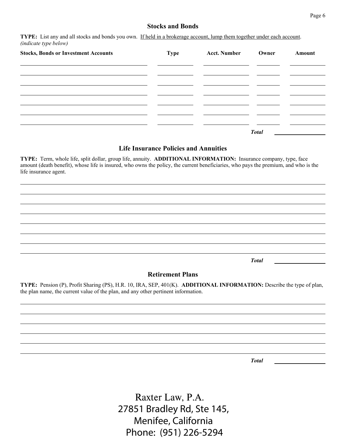# **Stocks and Bonds**

**TYPE:** List any and all stocks and bonds you own. If held in a brokerage account, lump them together under each account. *(indicate type below)*

| <b>Stocks, Bonds or Investment Accounts</b> | Type | <b>Acct. Number</b> | Owner        | Amount |
|---------------------------------------------|------|---------------------|--------------|--------|
|                                             |      |                     |              |        |
|                                             |      |                     |              |        |
|                                             |      |                     |              |        |
|                                             |      |                     |              |        |
|                                             |      |                     | <b>Total</b> |        |

#### **Life Insurance Policies and Annuities**

**TYPE:** Term, whole life, split dollar, group life, annuity. **ADDITIONAL INFORMATION:** Insurance company, type, face amount (death benefit), whose life is insured, who owns the policy, the current beneficiaries, who pays the premium, and who is the life insurance agent.

*Total*

#### **Retirement Plans**

**TYPE:** Pension (P), Profit Sharing (PS), H.R. 10, IRA, SEP, 401(K). **ADDITIONAL INFORMATION:** Describe the type of plan, the plan name, the current value of the plan, and any other pertinent information.

*Total*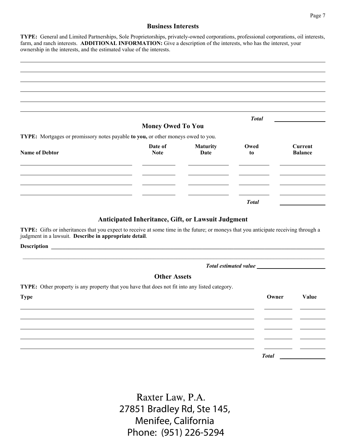#### **Business Interests**

**TYPE:** General and Limited Partnerships, Sole Proprietorships, privately-owned corporations, professional corporations, oil interests, farm, and ranch interests. **ADDITIONAL INFORMATION:** Give a description of the interests, who has the interest, your ownership in the interests, and the estimated value of the interests.

|                                                                                  |                          |                  | <b>Total</b> |                                  |
|----------------------------------------------------------------------------------|--------------------------|------------------|--------------|----------------------------------|
|                                                                                  | <b>Money Owed To You</b> |                  |              |                                  |
| TYPE: Mortgages or promissory notes payable to you, or other moneys owed to you. |                          |                  |              |                                  |
| <b>Name of Debtor</b>                                                            | Date of<br><b>Note</b>   | Maturity<br>Date | Owed<br>to   | <b>Current</b><br><b>Balance</b> |
|                                                                                  |                          |                  |              |                                  |
|                                                                                  |                          |                  |              |                                  |
|                                                                                  |                          |                  |              |                                  |
|                                                                                  |                          |                  | <b>Total</b> |                                  |

#### **Anticipated Inheritance, Gift, or Lawsuit Judgment**

**TYPE:** Gifts or inheritances that you expect to receive at some time in the future; or moneys that you anticipate receiving through a judgment in a lawsuit. **Describe in appropriate detail**.

Description **and the set of the set of the set of the set of the set of the set of the set of the set of the set of the set of the set of the set of the set of the set of the set of the set of the set of the set of the set** 

#### *Total estimated value \_\_\_\_\_\_\_\_\_\_\_\_\_\_\_\_\_\_\_\_\_\_\_*

#### **Other Assets**

\_\_\_\_\_\_\_\_\_\_\_\_\_\_\_\_\_\_\_\_\_\_\_\_\_\_\_\_\_\_\_\_\_\_\_\_\_\_\_\_\_\_\_\_\_\_\_\_\_\_\_\_\_\_\_\_\_\_\_\_\_\_\_\_\_\_\_\_\_\_\_\_\_\_\_\_\_\_\_\_\_\_\_\_\_\_\_\_\_\_\_\_\_\_\_\_\_\_\_\_\_\_\_\_\_\_

**TYPE:** Other property is any property that you have that does not fit into any listed category.

| <b>Type</b> | Owner        | Value |
|-------------|--------------|-------|
|             |              |       |
|             |              |       |
|             |              |       |
|             |              |       |
|             | <b>Total</b> |       |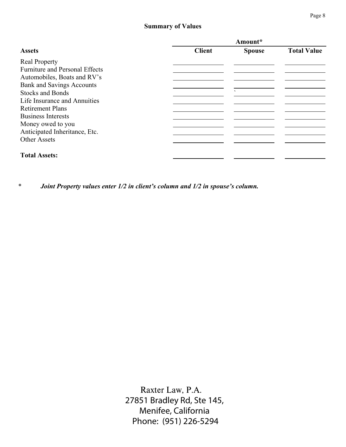# **Summary of Values**

|                                       | Amount*       |                |                    |
|---------------------------------------|---------------|----------------|--------------------|
| <b>Assets</b>                         | <b>Client</b> | <b>Spouse</b>  | <b>Total Value</b> |
| <b>Real Property</b>                  |               |                |                    |
| <b>Furniture and Personal Effects</b> |               |                |                    |
| Automobiles, Boats and RV's           |               |                |                    |
| <b>Bank and Savings Accounts</b>      |               |                |                    |
| <b>Stocks and Bonds</b>               |               | $\blacksquare$ |                    |
| Life Insurance and Annuities          |               |                |                    |
| <b>Retirement Plans</b>               |               |                |                    |
| <b>Business Interests</b>             |               |                |                    |
| Money owed to you                     |               |                |                    |
| Anticipated Inheritance, Etc.         |               |                |                    |
| <b>Other Assets</b>                   |               |                |                    |
| <b>Total Assets:</b>                  |               |                |                    |

*\* Joint Property values enter 1/2 in client's column and 1/2 in spouse's column.*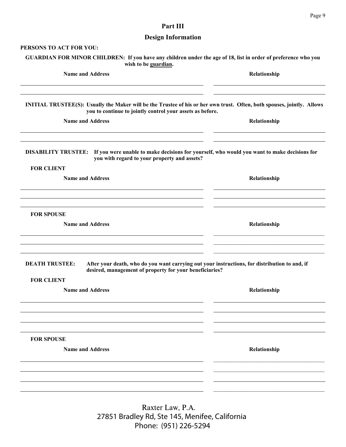# **Part III**

# **Design Information**

| PERSONS TO ACT FOR YOU:                                                                                                                                                                     |              |
|---------------------------------------------------------------------------------------------------------------------------------------------------------------------------------------------|--------------|
| GUARDIAN FOR MINOR CHILDREN: If you have any children under the age of 18, list in order of preference who you<br>wish to be guardian.                                                      |              |
| <b>Name and Address</b>                                                                                                                                                                     | Relationship |
| <b>INITIAL TRUSTEE(S):</b> Usually the Maker will be the Trustee of his or her own trust. Often, both spouses, jointly. Allows<br>you to continue to jointly control your assets as before. |              |
| <b>Name and Address</b>                                                                                                                                                                     | Relationship |
| DISABILITY TRUSTEE: If you were unable to make decisions for yourself, who would you want to make decisions for<br>you with regard to your property and assets?<br><b>FOR CLIENT</b>        |              |
| <b>Name and Address</b>                                                                                                                                                                     | Relationship |
| <b>FOR SPOUSE</b><br><b>Name and Address</b>                                                                                                                                                | Relationship |
| <b>DEATH TRUSTEE:</b><br>After your death, who do you want carrying out your instructions, for distribution to and, if<br>desired, management of property for your beneficiaries?           |              |
| <b>FOR CLIENT</b><br><b>Name and Address</b>                                                                                                                                                | Relationship |
|                                                                                                                                                                                             |              |
| <b>FOR SPOUSE</b><br><b>Name and Address</b>                                                                                                                                                | Relationship |
|                                                                                                                                                                                             |              |
|                                                                                                                                                                                             |              |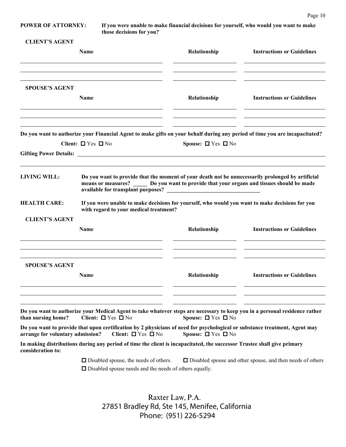**POWER OF ATTORNEY: If you were unable to make financial decisions for yourself, who would you want to make those decisions for you?**

| <b>CLIENT'S AGENT</b> |  |
|-----------------------|--|
|-----------------------|--|

|                                  | Name                                                                                                                                                                                               | Relationship                 | <b>Instructions or Guidelines</b>                                 |
|----------------------------------|----------------------------------------------------------------------------------------------------------------------------------------------------------------------------------------------------|------------------------------|-------------------------------------------------------------------|
| <b>SPOUSE'S AGENT</b>            | Name                                                                                                                                                                                               | Relationship                 | <b>Instructions or Guidelines</b>                                 |
|                                  | Do you want to authorize your Financial Agent to make gifts on your behalf during any period of time you are incapacitated?<br>Client: $\Box$ Yes $\Box$ No                                        | Spouse: $\Box$ Yes $\Box$ No |                                                                   |
| <b>LIVING WILL:</b>              | Do you want to provide that the moment of your death not be unnecessarily prolonged by artificial<br>means or measures? _______ Do you want to provide that your organs and tissues should be made |                              |                                                                   |
| <b>HEALTH CARE:</b>              | If you were unable to make decisions for yourself, who would you want to make decisions for you<br>with regard to your medical treatment?                                                          |                              |                                                                   |
| <b>CLIENT'S AGENT</b>            |                                                                                                                                                                                                    |                              |                                                                   |
|                                  | <b>Name</b>                                                                                                                                                                                        | Relationship                 | <b>Instructions or Guidelines</b>                                 |
| <b>SPOUSE'S AGENT</b>            | <b>Name</b>                                                                                                                                                                                        | Relationship                 | <b>Instructions or Guidelines</b>                                 |
| than nursing home?               | Do you want to authorize your Medical Agent to take whatever steps are necessary to keep you in a personal residence rather<br>Client: $\Box$ Yes $\Box$ No                                        | Spouse: $\Box$ Yes $\Box$ No |                                                                   |
| arrange for voluntary admission? | Do you want to provide that upon certification by 2 physicians of need for psychological or substance treatment, Agent may<br>Client: $\Box$ Yes $\Box$ No                                         | Spouse: $\Box$ Yes $\Box$ No |                                                                   |
| consideration to:                | In making distributions during any period of time the client is incapacitated, the successor Trustee shall give primary                                                                            |                              |                                                                   |
|                                  | $\Box$ Disabled spouse, the needs of others.<br>$\Box$ Disabled spouse needs and the needs of others equally.                                                                                      |                              | $\Box$ Disabled spouse and other spouse, and then needs of others |
|                                  | Raxter Law, P.A.                                                                                                                                                                                   |                              |                                                                   |
|                                  | 27851 Bradley Rd, Ste 145, Menifee, California                                                                                                                                                     |                              |                                                                   |

Phone: (951) 226-5294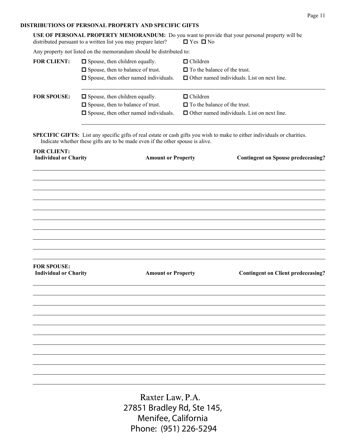#### **DISTRIBUTIONS OF PERSONAL PROPERTY AND SPECIFIC GIFTS**

|                                                    | USE OF PERSONAL PROPERTY MEMORANDUM: Do you want to provide that your personal property will be<br>distributed pursuant to a written list you may prepare later?                                            | $\Box$ Yes $\Box$ No                                   |                                                    |
|----------------------------------------------------|-------------------------------------------------------------------------------------------------------------------------------------------------------------------------------------------------------------|--------------------------------------------------------|----------------------------------------------------|
|                                                    | Any property not listed on the memorandum should be distributed to:                                                                                                                                         |                                                        |                                                    |
| <b>FOR CLIENT:</b>                                 | $\Box$ Spouse, then children equally.<br>□ Spouse, then to balance of trust.<br>$\Box$ Spouse, then other named individuals.                                                                                | $\Box$ Children<br>$\Box$ To the balance of the trust. | $\Box$ Other named individuals. List on next line. |
| <b>FOR SPOUSE:</b>                                 | $\Box$ Spouse, then children equally.<br>□ Spouse, then to balance of trust.<br>$\Box$ Spouse, then other named individuals.                                                                                | $\Box$ Children<br>$\Box$ To the balance of the trust. | $\Box$ Other named individuals. List on next line. |
|                                                    | SPECIFIC GIFTS: List any specific gifts of real estate or cash gifts you wish to make to either individuals or charities.<br>Indicate whether these gifts are to be made even if the other spouse is alive. |                                                        |                                                    |
| <b>FOR CLIENT:</b><br><b>Individual or Charity</b> | <b>Amount or Property</b>                                                                                                                                                                                   |                                                        | <b>Contingent on Spouse predeceasing?</b>          |
|                                                    |                                                                                                                                                                                                             |                                                        |                                                    |
|                                                    |                                                                                                                                                                                                             |                                                        |                                                    |
|                                                    |                                                                                                                                                                                                             |                                                        |                                                    |
|                                                    |                                                                                                                                                                                                             |                                                        |                                                    |
|                                                    |                                                                                                                                                                                                             |                                                        |                                                    |
|                                                    |                                                                                                                                                                                                             |                                                        |                                                    |
|                                                    |                                                                                                                                                                                                             |                                                        |                                                    |
|                                                    |                                                                                                                                                                                                             |                                                        |                                                    |
| <b>FOR SPOUSE:</b><br><b>Individual or Charity</b> | <b>Amount or Property</b>                                                                                                                                                                                   |                                                        | <b>Contingent on Client predeceasing?</b>          |
|                                                    |                                                                                                                                                                                                             |                                                        |                                                    |
|                                                    |                                                                                                                                                                                                             |                                                        |                                                    |
|                                                    |                                                                                                                                                                                                             |                                                        |                                                    |
|                                                    |                                                                                                                                                                                                             |                                                        |                                                    |
|                                                    |                                                                                                                                                                                                             |                                                        |                                                    |
|                                                    |                                                                                                                                                                                                             |                                                        |                                                    |
|                                                    |                                                                                                                                                                                                             |                                                        |                                                    |
|                                                    |                                                                                                                                                                                                             |                                                        |                                                    |
|                                                    |                                                                                                                                                                                                             |                                                        |                                                    |
|                                                    | Rayter Law P A                                                                                                                                                                                              |                                                        |                                                    |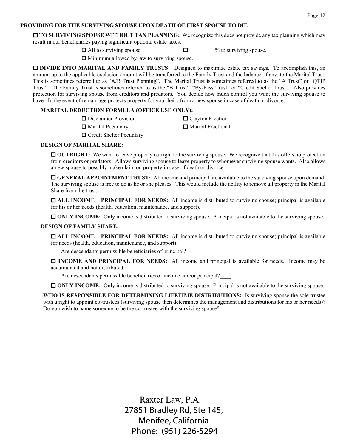#### **PROVIDING FOR THE SURVIVING SPOUSE UPON DEATH OF FIRST SPOUSE TO DIE**

**TO SURVIVING SPOUSE WITHOUT TAX PLANNING:** We recognize this does not provide any tax planning which may result in our beneficiaries paying significant optional estate taxes.

 $\Box$  All to surviving spouse.  $\Box$   $\Box$  % to surviving spouse.

 $\Box$  Minimum allowed by law to surviving spouse.

**DIVIDE INTO MARITAL AND FAMILY TRUSTS:** Designed to maximize estate tax savings. To accomplish this, an amount up to the applicable exclusion amount will be transferred to the Family Trust and the balance, if any, to the Marital Trust. This is sometimes referred to as "A/B Trust Planning". The Marital Trust is sometimes referred to as the "A Trust" or "QTIP Trust". The Family Trust is sometimes referred to as the "B Trust", "By-Pass Trust" or "Credit Shelter Trust". Also provides protection for surviving spouse from creditors and predators. You decide how much control you want the surviving spouse to have. In the event of remarriage protects property for your heirs from a new spouse in case of death or divorce.

#### **MARITAL DEDUCTION FORMULA (OFFICE USE ONLY):**

| $\Box$ Disclaimer Provision | □ Clayton Election   |
|-----------------------------|----------------------|
| Marital Pecuniary           | □ Marital Fractional |
| □ Credit Shelter Pecuniary  |                      |

#### **DESIGN OF MARITAL SHARE:**

**OUTRIGHT:** We want to leave property outright to the surviving spouse. We recognize that this offers no protection from creditors or predators. Allows surviving spouse to leave property to whomever surviving spouse wants. Also allows a new spouse to possibly make claim on property in case of death or divorce

 **GENERAL APPOINTMENT TRUST:** All income and principal are available to the surviving spouse upon demand. The surviving spouse is free to do as he or she pleases. This would include the ability to remove all property in the Marital Share from the trust.

 **ALL INCOME – PRINCIPAL FOR NEEDS:** All income is distributed to surviving spouse; principal is available for his or her needs (health, education, maintenance, and support).

**ONLY INCOME:** Only income is distributed to surviving spouse. Principal is not available to the surviving spouse.

#### **DESIGN OF FAMILY SHARE:**

 **ALL INCOME – PRINCIPAL FOR NEEDS:** All income is distributed to surviving spouse; principal is available for needs (health, education, maintenance, and support).

Are descendants permissible beneficiaries of principal?\_\_\_\_

 **INCOME AND PRINCIPAL FOR NEEDS:** All income and principal is available for needs. Income may be accumulated and not distributed.

Are descendants permissible beneficiaries of income and/or principal?\_\_\_\_

**ONLY INCOME:** Only income is distributed to surviving spouse. Principal is not available to the surviving spouse.

WHO IS RESPONSIBLE FOR DETERMINING LIFETIME DISTRIBUTIONS: Is surviving spouse the sole trustee with a right to appoint co-trustees (surviving spouse then determines the management and distributions for his or her needs)? Do you wish to name someone to be the co-trustee with the surviving spouse?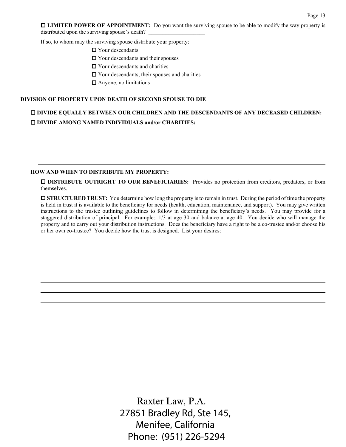**LIMITED POWER OF APPOINTMENT:** Do you want the surviving spouse to be able to modify the way property is distributed upon the surviving spouse's death?

If so, to whom may the surviving spouse distribute your property:

■ Your descendants

 $\Box$  Your descendants and their spouses

 $\Box$  Your descendants and charities

Your descendants, their spouses and charities

■ Anyone, no limitations

#### **DIVISION OF PROPERTY UPON DEATH OF SECOND SPOUSE TO DIE**

# **DIVIDE EQUALLY BETWEEN OUR CHILDREN AND THE DESCENDANTS OF ANY DECEASED CHILDREN: DIVIDE AMONG NAMED INDIVIDUALS and/or CHARITIES:**

#### **HOW AND WHEN TO DISTRIBUTE MY PROPERTY:**

 **DISTRIBUTE OUTRIGHT TO OUR BENEFICIARIES:** Provides no protection from creditors, predators, or from themselves.

**ISTRUCTURED TRUST:** You determine how long the property is to remain in trust. During the period of time the property is held in trust it is available to the beneficiary for needs (health, education, maintenance, and support). You may give written instructions to the trustee outlining guidelines to follow in determining the beneficiary's needs. You may provide for a staggered distribution of principal. For example:. 1/3 at age 30 and balance at age 40. You decide who will manage the property and to carry out your distribution instructions. Does the beneficiary have a right to be a co-trustee and/or choose his or her own co-trustee? You decide how the trust is designed. List your desires: